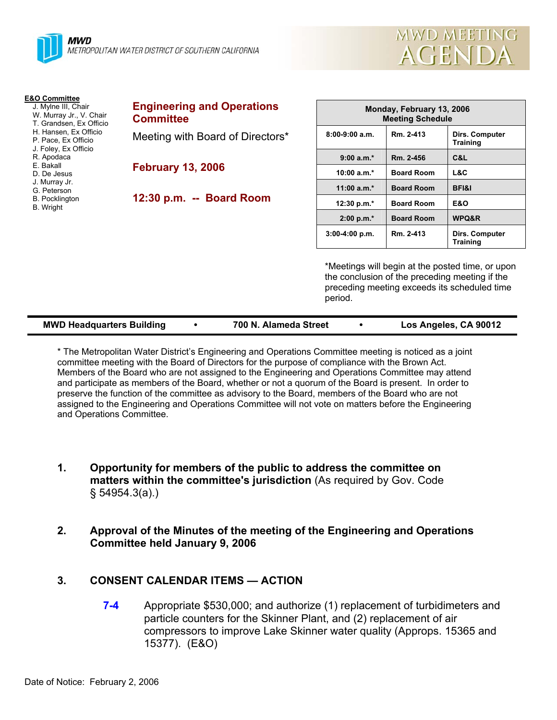

| <b>E&amp;O Committee</b><br>J. Mylne III, Chair<br>W. Murray Jr., V. Chair<br>T. Grandsen, Ex Officio<br>H. Hansen, Ex Officio<br>P. Pace, Ex Officio<br>J. Foley, Ex Officio<br>R. Apodaca<br>E. Bakall<br>D. De Jesus<br>J. Murray Jr.<br>G. Peterson<br><b>B.</b> Pocklington<br><b>B.</b> Wright | <b>Engineering and Operations</b><br><b>Committee</b> | Monday, February 13, 2006<br><b>Meeting Schedule</b> |                   |                                          |
|------------------------------------------------------------------------------------------------------------------------------------------------------------------------------------------------------------------------------------------------------------------------------------------------------|-------------------------------------------------------|------------------------------------------------------|-------------------|------------------------------------------|
|                                                                                                                                                                                                                                                                                                      | Meeting with Board of Directors*                      | $8:00-9:00$ a.m.                                     | Rm. 2-413         | <b>Dirs. Computer</b><br><b>Training</b> |
|                                                                                                                                                                                                                                                                                                      |                                                       | $9:00 a.m.*$                                         | Rm. 2-456         | C&L                                      |
|                                                                                                                                                                                                                                                                                                      | <b>February 13, 2006</b>                              | 10:00 $a.m.*$                                        | <b>Board Room</b> | L&C                                      |
|                                                                                                                                                                                                                                                                                                      | 12:30 p.m. -- Board Room                              | 11:00 $a.m.*$                                        | <b>Board Room</b> | <b>BFI&amp;I</b>                         |
|                                                                                                                                                                                                                                                                                                      |                                                       | 12:30 p.m.*                                          | <b>Board Room</b> | <b>E&amp;O</b>                           |
|                                                                                                                                                                                                                                                                                                      |                                                       | $2:00 p.m.*$                                         | <b>Board Room</b> | WPQ&R                                    |
|                                                                                                                                                                                                                                                                                                      |                                                       | $3:00-4:00 p.m.$                                     | Rm. 2-413         | Dirs. Computer<br><b>Training</b>        |

\*Meetings will begin at the posted time, or upon the conclusion of the preceding meeting if the preceding meeting exceeds its scheduled time period.

mwd meeting

**AGENDA** 

| <b>MWD Headquarters Building</b> |  | 700 N. Alameda Street |  | Los Angeles, CA 90012 |
|----------------------------------|--|-----------------------|--|-----------------------|
|----------------------------------|--|-----------------------|--|-----------------------|

\* The Metropolitan Water District's Engineering and Operations Committee meeting is noticed as a joint committee meeting with the Board of Directors for the purpose of compliance with the Brown Act. Members of the Board who are not assigned to the Engineering and Operations Committee may attend and participate as members of the Board, whether or not a quorum of the Board is present. In order to preserve the function of the committee as advisory to the Board, members of the Board who are not assigned to the Engineering and Operations Committee will not vote on matters before the Engineering and Operations Committee.

- **1. Opportunity for members of the public to address the committee on matters within the committee's jurisdiction** (As required by Gov. Code § 54954.3(a).)
- **2. Approval of the Minutes of the meeting of the Engineering and Operations Committee held January 9, 2006**

#### **3. CONSENT CALENDAR ITEMS — ACTION**

**7-4** Appropriate \$530,000; and authorize (1) replacement of turbidimeters and particle counters for the Skinner Plant, and (2) replacement of air compressors to improve Lake Skinner water quality (Approps. 15365 and 15377). (E&O)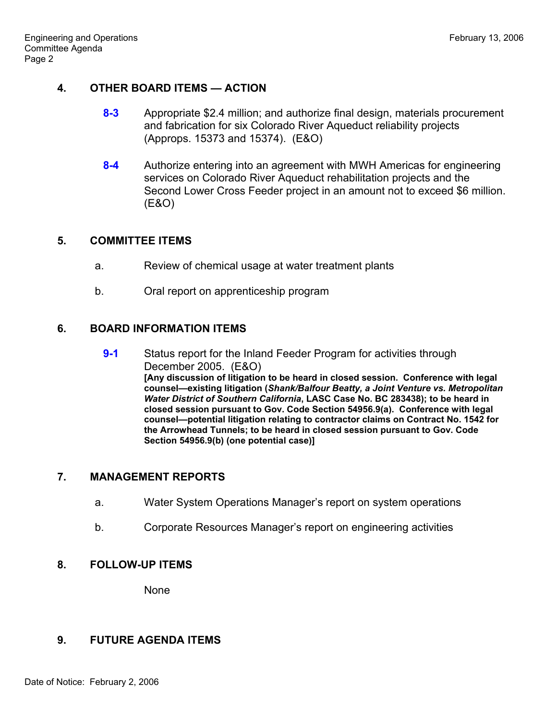#### **4. OTHER BOARD ITEMS — ACTION**

- **8-3** Appropriate \$2.4 million; and authorize final design, materials procurement and fabrication for six Colorado River Aqueduct reliability projects (Approps. 15373 and 15374). (E&O)
- **8-4** Authorize entering into an agreement with MWH Americas for engineering services on Colorado River Aqueduct rehabilitation projects and the Second Lower Cross Feeder project in an amount not to exceed \$6 million. (E&O)

# **5. COMMITTEE ITEMS**

- a. Review of chemical usage at water treatment plants
- b. Oral report on apprenticeship program

# **6. BOARD INFORMATION ITEMS**

**9-1** Status report for the Inland Feeder Program for activities through December 2005. (E&O) **[Any discussion of litigation to be heard in closed session. Conference with legal counsel—existing litigation (***Shank/Balfour Beatty, a Joint Venture vs. Metropolitan Water District of Southern California***, LASC Case No. BC 283438); to be heard in closed session pursuant to Gov. Code Section 54956.9(a). Conference with legal counsel—potential litigation relating to contractor claims on Contract No. 1542 for the Arrowhead Tunnels; to be heard in closed session pursuant to Gov. Code Section 54956.9(b) (one potential case)]**

# **7. MANAGEMENT REPORTS**

- a. Water System Operations Manager's report on system operations
- b. Corporate Resources Manager's report on engineering activities

# **8. FOLLOW-UP ITEMS**

None

# **9. FUTURE AGENDA ITEMS**